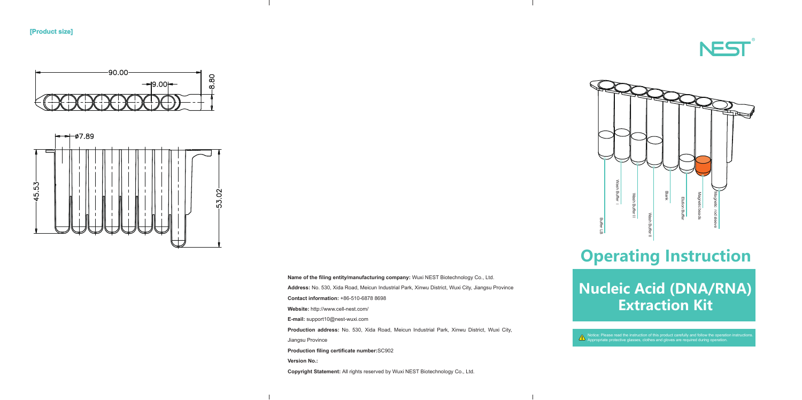

**[Product size]**





## **Nucleic Acid (DNA/RNA) Extraction Kit**

# **Operating Instruction**

Notice: Please read the instruction of this product carefully and follow the operation instructions. Appropriate protective glasses, clothes and gloves are required during operation.

**Name of the filing entity/manufacturing company:** Wuxi NEST Biotechnology Co., Ltd.



**Address:** No. 530, Xida Road, Meicun Industrial Park, Xinwu District, Wuxi City, Jiangsu Province **Contact information:** +86-510-6878 8698 **Website:** http://www.cell-nest.com/ **E-mail:** support10@nest-wuxi.com **Production address:** No. 530, Xida Road, Meicun Industrial Park, Xinwu District, Wuxi City, Jiangsu Province **Production filing certificate number:**SC902 **Version No.: Copyright Statement:** All rights reserved by Wuxi NEST Biotechnology Co., Ltd.